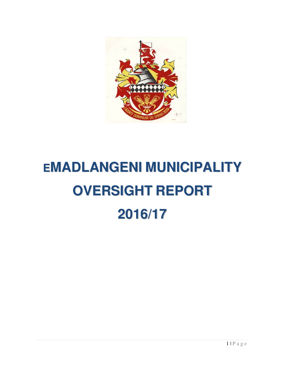

# **EMADLANGENI MUNICIPALITY OVERSIGHT REPORT 2016/17**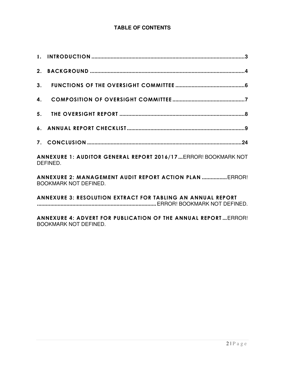# **TABLE OF CONTENTS**

| ANNEXURE 1: AUDITOR GENERAL REPORT 2016/17  ERROR! BOOKMARK NOT<br>DEFINED.             |
|-----------------------------------------------------------------------------------------|
| ANNEXURE 2: MANAGEMENT AUDIT REPORT ACTION PLAN  ERROR!<br><b>BOOKMARK NOT DEFINED.</b> |
| <b>ANNEXURE 3: RESOLUTION EXTRACT FOR TABLING AN ANNUAL REPORT</b>                      |

**ANNEXURE 4: ADVERT FOR PUBLICATION OF THE ANNUAL REPORT ...** ERROR! BOOKMARK NOT DEFINED.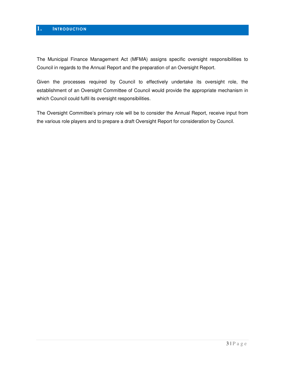## **1. INTRODUCTION**

The Municipal Finance Management Act (MFMA) assigns specific oversight responsibilities to Council in regards to the Annual Report and the preparation of an Oversight Report.

Given the processes required by Council to effectively undertake its oversight role, the establishment of an Oversight Committee of Council would provide the appropriate mechanism in which Council could fulfil its oversight responsibilities.

The Oversight Committee's primary role will be to consider the Annual Report, receive input from the various role players and to prepare a draft Oversight Report for consideration by Council.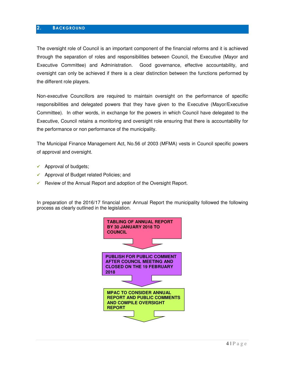## **2. BACKGROUND**

The oversight role of Council is an important component of the financial reforms and it is achieved through the separation of roles and responsibilities between Council, the Executive (Mayor and Executive Committee) and Administration. Good governance, effective accountability, and oversight can only be achieved if there is a clear distinction between the functions performed by the different role players.

Non-executive Councillors are required to maintain oversight on the performance of specific responsibilities and delegated powers that they have given to the Executive (Mayor/Executive Committee). In other words, in exchange for the powers in which Council have delegated to the Executive, Council retains a monitoring and oversight role ensuring that there is accountability for the performance or non performance of the municipality.

The Municipal Finance Management Act, No.56 of 2003 (MFMA) vests in Council specific powers of approval and oversight.

- $\checkmark$  Approval of budgets;
- Approval of Budget related Policies; and
- Review of the Annual Report and adoption of the Oversight Report.

In preparation of the 2016/17 financial year Annual Report the municipality followed the following process as clearly outlined in the legislation.

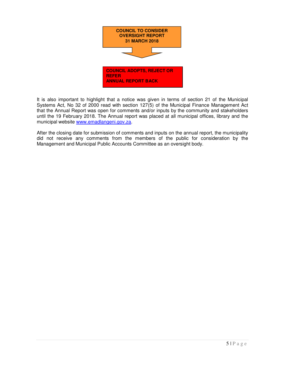

It is also important to highlight that a notice was given in terms of section 21 of the Municipal Systems Act, No 32 of 2000 read with section 127(5) of the Municipal Finance Management Act that the Annual Report was open for comments and/or inputs by the community and stakeholders until the 19 February 2018. The Annual report was placed at all municipal offices, library and the municipal website www.emadlangeni.gov.za.

After the closing date for submission of comments and inputs on the annual report, the municipality did not receive any comments from the members of the public for consideration by the Management and Municipal Public Accounts Committee as an oversight body.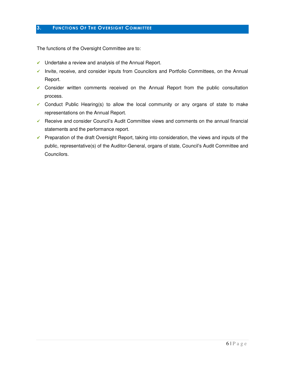## **3. FUNCTIONS OF THE OVERSIGHT COMMITTEE**

The functions of the Oversight Committee are to:

- $\checkmark$  Undertake a review and analysis of the Annual Report.
- $\checkmark$  Invite, receive, and consider inputs from Councilors and Portfolio Committees, on the Annual Report.
- Consider written comments received on the Annual Report from the public consultation process.
- $\checkmark$  Conduct Public Hearing(s) to allow the local community or any organs of state to make representations on the Annual Report.
- $\checkmark$  Receive and consider Council's Audit Committee views and comments on the annual financial statements and the performance report.
- $\checkmark$  Preparation of the draft Oversight Report, taking into consideration, the views and inputs of the public, representative(s) of the Auditor-General, organs of state, Council's Audit Committee and Councilors.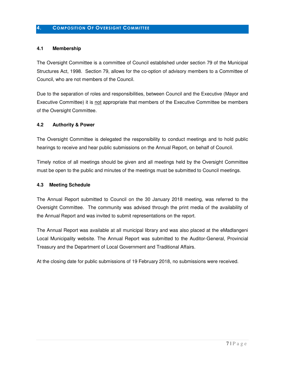# **4. COMPOSITION OF OVERSIGHT COMMITTEE**

## **4.1 Membership**

The Oversight Committee is a committee of Council established under section 79 of the Municipal Structures Act, 1998. Section 79, allows for the co-option of advisory members to a Committee of Council, who are not members of the Council.

Due to the separation of roles and responsibilities, between Council and the Executive (Mayor and Executive Committee) it is not appropriate that members of the Executive Committee be members of the Oversight Committee.

## **4.2 Authority & Power**

The Oversight Committee is delegated the responsibility to conduct meetings and to hold public hearings to receive and hear public submissions on the Annual Report, on behalf of Council.

Timely notice of all meetings should be given and all meetings held by the Oversight Committee must be open to the public and minutes of the meetings must be submitted to Council meetings.

## **4.3 Meeting Schedule**

The Annual Report submitted to Council on the 30 January 2018 meeting, was referred to the Oversight Committee. The community was advised through the print media of the availability of the Annual Report and was invited to submit representations on the report.

The Annual Report was available at all municipal library and was also placed at the eMadlangeni Local Municipality website. The Annual Report was submitted to the Auditor-General, Provincial Treasury and the Department of Local Government and Traditional Affairs.

At the closing date for public submissions of 19 February 2018, no submissions were received.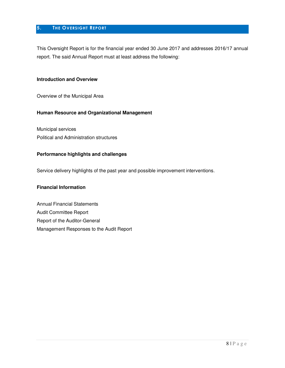# **5. THE OVERSIGHT REPORT**

This Oversight Report is for the financial year ended 30 June 2017 and addresses 2016/17 annual report. The said Annual Report must at least address the following:

# **Introduction and Overview**

Overview of the Municipal Area

#### **Human Resource and Organizational Management**

Municipal services Political and Administration structures

#### **Performance highlights and challenges**

Service delivery highlights of the past year and possible improvement interventions.

## **Financial Information**

Annual Financial Statements Audit Committee Report Report of the Auditor-General Management Responses to the Audit Report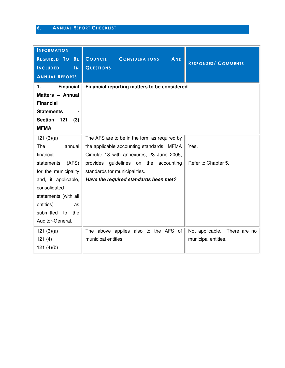# **6. ANNUAL REPORT CHECKLIST**

| <b>INFORMATION</b>           |                                                |                                 |
|------------------------------|------------------------------------------------|---------------------------------|
| REQUIRED TO BE               | COUNCIL<br><b>AND</b><br><b>CONSIDERATIONS</b> |                                 |
| <b>INCLUDED</b><br>IN        | <b>QUESTIONS</b>                               | <b>RESPONSES/ COMMENTS</b>      |
| <b>ANNUAL REPORTS</b>        |                                                |                                 |
| <b>Financial</b><br>1.       | Financial reporting matters to be considered   |                                 |
| Matters - Annual             |                                                |                                 |
| <b>Financial</b>             |                                                |                                 |
| <b>Statements</b>            |                                                |                                 |
| <b>Section</b><br>121<br>(3) |                                                |                                 |
| <b>MFMA</b>                  |                                                |                                 |
| 121(3)(a)                    | The AFS are to be in the form as required by   |                                 |
| The<br>annual                | the applicable accounting standards. MFMA      | Yes.                            |
| financial                    | Circular 18 with annexures, 23 June 2005,      |                                 |
| (AFS)<br>statements          | provides guidelines on the accounting          | Refer to Chapter 5.             |
| for the municipality         | standards for municipalities.                  |                                 |
| and, if applicable,          | Have the required standards been met?          |                                 |
| consolidated                 |                                                |                                 |
| statements (with all         |                                                |                                 |
| entities)<br>as              |                                                |                                 |
| submitted<br>to<br>the       |                                                |                                 |
| Auditor-General.             |                                                |                                 |
| 121(3)(a)                    | The above applies also to the AFS of           | Not applicable.<br>There are no |
| 121(4)                       | municipal entities.                            | municipal entities.             |
| 121(4)(b)                    |                                                |                                 |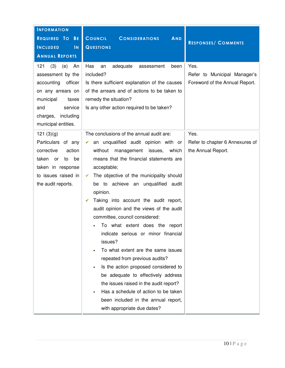| <b>INFORMATION</b>                                                                                                                                                                 |                                                                                                                                                                                                                                                                                                                                                                                                                                                                                                                                                                                                                                                                                                                                                                                                                         |                                                                        |
|------------------------------------------------------------------------------------------------------------------------------------------------------------------------------------|-------------------------------------------------------------------------------------------------------------------------------------------------------------------------------------------------------------------------------------------------------------------------------------------------------------------------------------------------------------------------------------------------------------------------------------------------------------------------------------------------------------------------------------------------------------------------------------------------------------------------------------------------------------------------------------------------------------------------------------------------------------------------------------------------------------------------|------------------------------------------------------------------------|
| REQUIRED TO BE                                                                                                                                                                     | <b>COUNCIL</b><br>AND<br><b>CONSIDERATIONS</b>                                                                                                                                                                                                                                                                                                                                                                                                                                                                                                                                                                                                                                                                                                                                                                          | <b>RESPONSES/ COMMENTS</b>                                             |
| <b>INCLUDED</b><br>$\overline{\mathsf{N}}$                                                                                                                                         | <b>QUESTIONS</b>                                                                                                                                                                                                                                                                                                                                                                                                                                                                                                                                                                                                                                                                                                                                                                                                        |                                                                        |
| <b>ANNUAL REPORTS</b>                                                                                                                                                              |                                                                                                                                                                                                                                                                                                                                                                                                                                                                                                                                                                                                                                                                                                                                                                                                                         |                                                                        |
| 121<br>(3)<br>(e)<br>An<br>assessment by the<br>accounting<br>officer<br>on any arrears on<br>municipal<br>taxes<br>service<br>and<br>charges,<br>including<br>municipal entities. | Has<br>adequate<br>an<br>been<br>assessment<br>included?<br>Is there sufficient explanation of the causes<br>of the arrears and of actions to be taken to<br>remedy the situation?<br>Is any other action required to be taken?                                                                                                                                                                                                                                                                                                                                                                                                                                                                                                                                                                                         | Yes.<br>Refer to Municipal Manager's<br>Foreword of the Annual Report. |
| 121(3)(g)<br>Particulars of any<br>corrective<br>action<br>taken<br>be<br><b>or</b><br>to<br>taken in response<br>to issues raised in<br>the audit reports.                        | The conclusions of the annual audit are:<br>an unqualified audit opinion with or<br>✓<br>without<br>management issues, which<br>means that the financial statements are<br>acceptable;<br>The objective of the municipality should<br>✓<br>be to achieve an unqualified audit<br>opinion.<br>Taking into account the audit report,<br>✓<br>audit opinion and the views of the audit<br>committee, council considered:<br>To what extent does the report<br>indicate serious or minor financial<br>issues?<br>To what extent are the same issues<br>repeated from previous audits?<br>Is the action proposed considered to<br>be adequate to effectively address<br>the issues raised in the audit report?<br>Has a schedule of action to be taken<br>been included in the annual report,<br>with appropriate due dates? | Yes.<br>Refer to chapter 6 Annexures of<br>the Annual Report.          |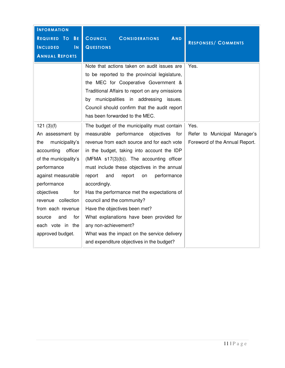| <b>INFORMATION</b><br>REQUIRED TO<br><b>BE</b><br>$\overline{\mathsf{N}}$<br><b>INCLUDED</b><br><b>ANNUAL REPORTS</b>                                                                                                                                                                        | COUNCIL<br><b>AND</b><br><b>CONSIDERATIONS</b><br><b>QUESTIONS</b><br>Note that actions taken on audit issues are<br>to be reported to the provincial legislature,<br>the MEC for Cooperative Government &<br>Traditional Affairs to report on any omissions                                                                                                                                                                                                                                                                                                                                                                       | <b>RESPONSES/ COMMENTS</b><br>Yes.                                     |
|----------------------------------------------------------------------------------------------------------------------------------------------------------------------------------------------------------------------------------------------------------------------------------------------|------------------------------------------------------------------------------------------------------------------------------------------------------------------------------------------------------------------------------------------------------------------------------------------------------------------------------------------------------------------------------------------------------------------------------------------------------------------------------------------------------------------------------------------------------------------------------------------------------------------------------------|------------------------------------------------------------------------|
|                                                                                                                                                                                                                                                                                              | by municipalities in addressing issues.<br>Council should confirm that the audit report<br>has been forwarded to the MEC.                                                                                                                                                                                                                                                                                                                                                                                                                                                                                                          |                                                                        |
| 121(3)(f)<br>An assessment by<br>municipality's<br>the<br>accounting<br>officer<br>of the municipality's<br>performance<br>against measurable<br>performance<br>objectives<br>for<br>revenue collection<br>from each revenue<br>and<br>for<br>source<br>each vote in the<br>approved budget. | The budget of the municipality must contain<br>performance<br>objectives<br>measurable<br>for<br>revenue from each source and for each vote<br>in the budget, taking into account the IDP<br>(MFMA s17(3)(b)). The accounting officer<br>must include these objectives in the annual<br>performance<br>report<br>and<br>report<br>on<br>accordingly.<br>Has the performance met the expectations of<br>council and the community?<br>Have the objectives been met?<br>What explanations have been provided for<br>any non-achievement?<br>What was the impact on the service delivery<br>and expenditure objectives in the budget? | Yes.<br>Refer to Municipal Manager's<br>Foreword of the Annual Report. |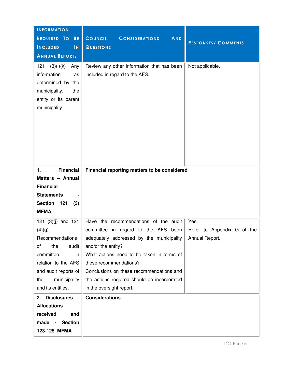| <b>INFORMATION</b><br>REQUIRED TO<br><b>BE</b><br><b>INCLUDED</b><br>$\mathsf{IN}$                                                                                                    | COUNCIL<br>AND<br><b>CONSIDERATIONS</b><br><b>QUESTIONS</b>                                                                                                                                                                                                                                                                                     | <b>RESPONSES/ COMMENTS</b>                           |
|---------------------------------------------------------------------------------------------------------------------------------------------------------------------------------------|-------------------------------------------------------------------------------------------------------------------------------------------------------------------------------------------------------------------------------------------------------------------------------------------------------------------------------------------------|------------------------------------------------------|
| <b>ANNUAL REPORTS</b><br>121<br>(3)(i)(k)<br>Any<br>information<br>as<br>determined by the<br>municipality,<br>the<br>entity or its parent<br>municipality.                           | Review any other information that has been<br>included in regard to the AFS.                                                                                                                                                                                                                                                                    | Not applicable.                                      |
| <b>Financial</b><br>1.<br>Matters - Annual<br><b>Financial</b><br><b>Statements</b><br><b>Section</b><br>121<br>(3)<br><b>MFMA</b>                                                    | Financial reporting matters to be considered                                                                                                                                                                                                                                                                                                    |                                                      |
| 121 $(3)(j)$ and 121<br>(4)(g)<br>Recommendations<br>the<br>of<br>audit<br>committee<br>in<br>relation to the AFS<br>and audit reports of<br>the<br>municipality<br>and its entities. | Have the recommendations of the audit<br>committee in regard to the AFS<br>been<br>adequately addressed by the municipality<br>and/or the entity?<br>What actions need to be taken in terms of<br>these recommendations?<br>Conclusions on these recommendations and<br>the actions required should be incorporated<br>in the oversight report. | Yes.<br>Refer to Appendix G of the<br>Annual Report. |
| <b>Disclosures</b><br>2.<br>$\sim$<br><b>Allocations</b><br>received<br>and<br>made -<br><b>Section</b><br>123-125 MFMA                                                               | <b>Considerations</b>                                                                                                                                                                                                                                                                                                                           |                                                      |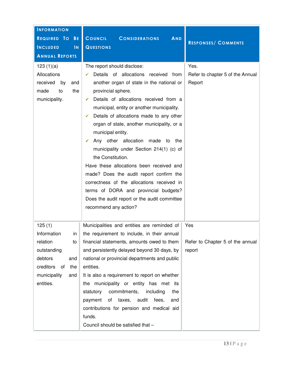| <b>INFORMATION</b><br>REQUIRED TO BE<br><b>INCLUDED</b><br>$\overline{\mathsf{N}}$<br><b>ANNUAL REPORTS</b>                                             | <b>COUNCIL</b><br><b>CONSIDERATIONS</b><br><b>AND</b><br><b>QUESTIONS</b>                                                                                                                                                                                                                                                                                                                                                                                                                                                                                                                                                                                                                                                                   | <b>RESPONSES/ COMMENTS</b>                         |
|---------------------------------------------------------------------------------------------------------------------------------------------------------|---------------------------------------------------------------------------------------------------------------------------------------------------------------------------------------------------------------------------------------------------------------------------------------------------------------------------------------------------------------------------------------------------------------------------------------------------------------------------------------------------------------------------------------------------------------------------------------------------------------------------------------------------------------------------------------------------------------------------------------------|----------------------------------------------------|
| 123(1)(a)<br>Allocations<br>received<br>by<br>and<br>made<br>to<br>the<br>municipality.                                                                 | The report should disclose:<br>Details of allocations received from<br>✓<br>another organ of state in the national or<br>provincial sphere.<br>Details of allocations received from a<br>✓<br>municipal, entity or another municipality.<br>Details of allocations made to any other<br>✓<br>organ of state, another municipality, or a<br>municipal entity.<br>Any other allocation made to<br>the<br>$\checkmark$<br>municipality under Section 214(1) (c) of<br>the Constitution.<br>Have these allocations been received and<br>made? Does the audit report confirm the<br>correctness of the allocations received in<br>terms of DORA and provincial budgets?<br>Does the audit report or the audit committee<br>recommend any action? | Yes.<br>Refer to chapter 5 of the Annual<br>Report |
| 125(1)<br>Information<br>$\mathsf{in}$<br>relation<br>to<br>outstanding<br>debtors<br>and<br>creditors<br>of<br>the<br>municipality<br>and<br>entities. | Municipalities and entities are reminded of<br>the requirement to include, in their annual<br>financial statements, amounts owed to them<br>and persistently delayed beyond 30 days, by<br>national or provincial departments and public<br>entities.<br>It is also a requirement to report on whether<br>the municipality or entity has met its<br>commitments,<br>including<br>the<br>statutory<br>taxes, audit<br>fees,<br>payment<br>of<br>and<br>contributions for pension and medical aid<br>funds.<br>Council should be satisfied that -                                                                                                                                                                                             | Yes<br>Refer to Chapter 5 of the annual<br>report  |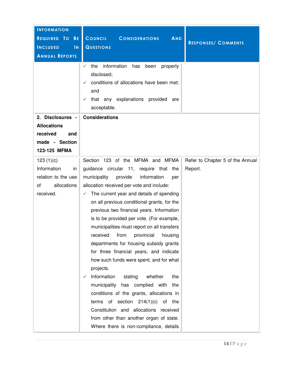| <b>INFORMATION</b><br>REQUIRED TO<br><b>BE</b><br><b>INCLUDED</b><br>$\overline{\mathsf{N}}$<br><b>ANNUAL REPORTS</b> | <b>COUNCIL</b><br><b>CONSIDERATIONS</b><br><b>AND</b><br><b>QUESTIONS</b><br>information<br>✔<br>the<br>has<br>properly<br>been<br>disclosed;<br>conditions of allocations have been met;<br>✔<br>and<br>that any explanations provided<br>are<br>✔                                                                                                                                                                                                                                                                                                                                                                                                                                                                                                                                                                                                                                                                          | <b>RESPONSES/ COMMENTS</b>                  |
|-----------------------------------------------------------------------------------------------------------------------|------------------------------------------------------------------------------------------------------------------------------------------------------------------------------------------------------------------------------------------------------------------------------------------------------------------------------------------------------------------------------------------------------------------------------------------------------------------------------------------------------------------------------------------------------------------------------------------------------------------------------------------------------------------------------------------------------------------------------------------------------------------------------------------------------------------------------------------------------------------------------------------------------------------------------|---------------------------------------------|
| 2. Disclosures -<br><b>Allocations</b><br>received<br>and<br>made - Section<br>123-125 MFMA                           | acceptable.<br><b>Considerations</b>                                                                                                                                                                                                                                                                                                                                                                                                                                                                                                                                                                                                                                                                                                                                                                                                                                                                                         |                                             |
| 123(1)(c)<br>Information<br>in<br>relation to the use<br>allocations<br>οf<br>received.                               | Section 123 of the MFMA and MFMA<br>guidance circular 11, require that<br>the<br>municipality<br>provide<br>information<br>per<br>allocation received per vote and include:<br>The current year and details of spending<br>✔<br>on all previous conditional grants, for the<br>previous two financial years. Information<br>is to be provided per vote. (For example,<br>municipalities must report on all transfers<br>received<br>from<br>provincial<br>housing<br>departments for housing subsidy grants<br>for three financial years, and indicate<br>how such funds were spent, and for what<br>projects.<br>Information<br>whether<br>stating<br>the<br>✔<br>municipality has complied with the<br>conditions of the grants, allocations in<br>terms of section $214(1)(c)$<br>of<br>the<br>Constitution and allocations received<br>from other than another organ of state.<br>Where there is non-compliance, details | Refer to Chapter 5 of the Annual<br>Report. |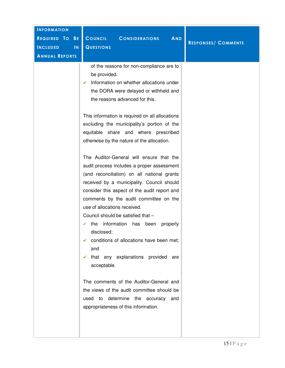| <b>INFORMATION</b>               |                                                                                                                                                                                                                                                                                                                                                                                                                                                                                                                                                                                                                                                                                                                                                                                                                                                                                                                                                                                                                                                                                                          |                            |
|----------------------------------|----------------------------------------------------------------------------------------------------------------------------------------------------------------------------------------------------------------------------------------------------------------------------------------------------------------------------------------------------------------------------------------------------------------------------------------------------------------------------------------------------------------------------------------------------------------------------------------------------------------------------------------------------------------------------------------------------------------------------------------------------------------------------------------------------------------------------------------------------------------------------------------------------------------------------------------------------------------------------------------------------------------------------------------------------------------------------------------------------------|----------------------------|
| REQUIRED TO<br><b>BE</b>         | <b>COUNCIL</b><br><b>CONSIDERATIONS</b><br><b>AND</b>                                                                                                                                                                                                                                                                                                                                                                                                                                                                                                                                                                                                                                                                                                                                                                                                                                                                                                                                                                                                                                                    |                            |
| $\mathsf{IN}$<br><b>INCLUDED</b> | <b>QUESTIONS</b>                                                                                                                                                                                                                                                                                                                                                                                                                                                                                                                                                                                                                                                                                                                                                                                                                                                                                                                                                                                                                                                                                         | <b>RESPONSES/ COMMENTS</b> |
| <b>ANNUAL REPORTS</b>            |                                                                                                                                                                                                                                                                                                                                                                                                                                                                                                                                                                                                                                                                                                                                                                                                                                                                                                                                                                                                                                                                                                          |                            |
|                                  | of the reasons for non-compliance are to<br>be provided.<br>Information on whether allocations under<br>✓<br>the DORA were delayed or withheld and<br>the reasons advanced for this.<br>This information is required on all allocations<br>excluding the municipality's portion of the<br>equitable share and where prescribed<br>otherwise by the nature of the allocation.<br>The Auditor-General will ensure that the<br>audit process includes a proper assessment<br>(and reconciliation) on all national grants<br>received by a municipality. Council should<br>consider this aspect of the audit report and<br>comments by the audit committee on the<br>use of allocations received.<br>Council should be satisfied that -<br>information has<br>the<br>been<br>properly<br>disclosed;<br>$\checkmark$ conditions of allocations have been met;<br>and<br>$\checkmark$ that any explanations provided are<br>acceptable.<br>The comments of the Auditor-General and<br>the views of the audit committee should be<br>used to determine the accuracy and<br>appropriateness of this information. |                            |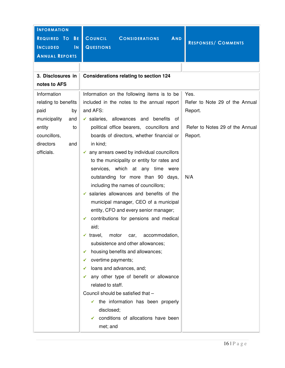| <b>INFORMATION</b>                         |                                                         |                                 |
|--------------------------------------------|---------------------------------------------------------|---------------------------------|
| REQUIRED TO BE                             | <b>COUNCIL</b><br><b>AND</b><br><b>CONSIDERATIONS</b>   | <b>RESPONSES/ COMMENTS</b>      |
| <b>INCLUDED</b><br>$\overline{\mathsf{N}}$ | <b>QUESTIONS</b>                                        |                                 |
| <b>ANNUAL REPORTS</b>                      |                                                         |                                 |
|                                            |                                                         |                                 |
| 3. Disclosures in                          | <b>Considerations relating to section 124</b>           |                                 |
| notes to AFS                               |                                                         |                                 |
| Information                                | Information on the following items is to be             | Yes.                            |
| relating to benefits                       | included in the notes to the annual report              | Refer to Note 29 of the Annual  |
| paid<br>by                                 | and AFS:                                                | Report.                         |
| municipality<br>and                        | $\checkmark$ salaries, allowances and benefits of       |                                 |
| entity<br>to                               | political office bearers, councillors and               | Refer to Notes 29 of the Annual |
| councillors,                               | boards of directors, whether financial or               | Report.                         |
| directors<br>and                           | in kind;                                                |                                 |
| officials.                                 | $\checkmark$ any arrears owed by individual councillors |                                 |
|                                            | to the municipality or entity for rates and             |                                 |
|                                            | services, which at any time were                        |                                 |
|                                            | outstanding for more than 90 days,                      | N/A                             |
|                                            | including the names of councillors;                     |                                 |
|                                            | $\checkmark$ salaries allowances and benefits of the    |                                 |
|                                            | municipal manager, CEO of a municipal                   |                                 |
|                                            | entity, CFO and every senior manager;                   |                                 |
|                                            | contributions for pensions and medical<br>✓             |                                 |
|                                            | aid;                                                    |                                 |
|                                            | $\checkmark$ travel,<br>motor<br>accommodation,<br>car, |                                 |
|                                            | subsistence and other allowances;                       |                                 |
|                                            | housing benefits and allowances;<br>✔                   |                                 |
|                                            | overtime payments;<br>✔                                 |                                 |
|                                            | loans and advances, and;<br>✔                           |                                 |
|                                            | any other type of benefit or allowance<br>✓             |                                 |
|                                            | related to staff.                                       |                                 |
|                                            | Council should be satisfied that -                      |                                 |
|                                            | the information has been properly<br>$\checkmark$       |                                 |
|                                            | disclosed;                                              |                                 |
|                                            | conditions of allocations have been<br>$\checkmark$     |                                 |
|                                            | met; and                                                |                                 |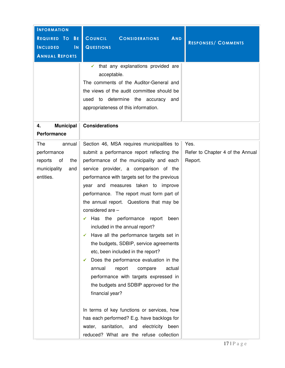| <b>INFORMATION</b>                                                                       |                                                                                                                                                                                                                                                                                                                                                                                                                                                                                                                                                                                                                                                                                                                                                                                                                                                                                                                                                                           |                                                     |
|------------------------------------------------------------------------------------------|---------------------------------------------------------------------------------------------------------------------------------------------------------------------------------------------------------------------------------------------------------------------------------------------------------------------------------------------------------------------------------------------------------------------------------------------------------------------------------------------------------------------------------------------------------------------------------------------------------------------------------------------------------------------------------------------------------------------------------------------------------------------------------------------------------------------------------------------------------------------------------------------------------------------------------------------------------------------------|-----------------------------------------------------|
| REQUIRED TO BE                                                                           | <b>COUNCIL</b><br><b>CONSIDERATIONS</b><br>AND                                                                                                                                                                                                                                                                                                                                                                                                                                                                                                                                                                                                                                                                                                                                                                                                                                                                                                                            |                                                     |
| <b>INCLUDED</b><br>$\overline{\mathsf{N}}$                                               | <b>QUESTIONS</b>                                                                                                                                                                                                                                                                                                                                                                                                                                                                                                                                                                                                                                                                                                                                                                                                                                                                                                                                                          | <b>RESPONSES/ COMMENTS</b>                          |
| <b>ANNUAL REPORTS</b>                                                                    |                                                                                                                                                                                                                                                                                                                                                                                                                                                                                                                                                                                                                                                                                                                                                                                                                                                                                                                                                                           |                                                     |
|                                                                                          | that any explanations provided are<br>acceptable.<br>The comments of the Auditor-General and<br>the views of the audit committee should be<br>determine the accuracy<br>used<br>to<br>and<br>appropriateness of this information.                                                                                                                                                                                                                                                                                                                                                                                                                                                                                                                                                                                                                                                                                                                                         |                                                     |
| <b>Municipal</b><br>4.<br><b>Performance</b>                                             | <b>Considerations</b>                                                                                                                                                                                                                                                                                                                                                                                                                                                                                                                                                                                                                                                                                                                                                                                                                                                                                                                                                     |                                                     |
| The<br>annual<br>performance<br>reports<br>of<br>the<br>municipality<br>and<br>entities. | Section 46, MSA requires municipalities to<br>submit a performance report reflecting the<br>performance of the municipality and each<br>service provider, a comparison of the<br>performance with targets set for the previous<br>year and measures taken to improve<br>performance. The report must form part of<br>the annual report. Questions that may be<br>considered are -<br>Has the<br>performance<br>report<br>been<br>included in the annual report?<br>Have all the performance targets set in<br>the budgets, SDBIP, service agreements<br>etc, been included in the report?<br>Does the performance evaluation in the<br>✔<br>annual<br>report<br>actual<br>compare<br>performance with targets expressed in<br>the budgets and SDBIP approved for the<br>financial year?<br>In terms of key functions or services, how<br>has each performed? E.g. have backlogs for<br>water, sanitation, and electricity been<br>reduced? What are the refuse collection | Yes.<br>Refer to Chapter 4 of the Annual<br>Report. |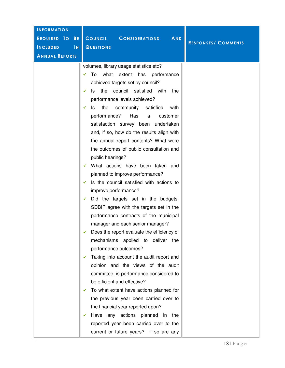| <b>INFORMATION</b>                         |                                                                                                                                                                                                                                                                                                                                                                                                                                                                                                                                                                                                                                                                                                                                                                                                                                                                                                                                                                                                                                                                                                                                                                                                                                                                                                                                                                |                            |
|--------------------------------------------|----------------------------------------------------------------------------------------------------------------------------------------------------------------------------------------------------------------------------------------------------------------------------------------------------------------------------------------------------------------------------------------------------------------------------------------------------------------------------------------------------------------------------------------------------------------------------------------------------------------------------------------------------------------------------------------------------------------------------------------------------------------------------------------------------------------------------------------------------------------------------------------------------------------------------------------------------------------------------------------------------------------------------------------------------------------------------------------------------------------------------------------------------------------------------------------------------------------------------------------------------------------------------------------------------------------------------------------------------------------|----------------------------|
| REQUIRED TO<br><b>BE</b>                   | <b>COUNCIL</b><br><b>CONSIDERATIONS</b><br><b>AND</b>                                                                                                                                                                                                                                                                                                                                                                                                                                                                                                                                                                                                                                                                                                                                                                                                                                                                                                                                                                                                                                                                                                                                                                                                                                                                                                          |                            |
| <b>INCLUDED</b><br>$\overline{\mathsf{N}}$ | <b>QUESTIONS</b>                                                                                                                                                                                                                                                                                                                                                                                                                                                                                                                                                                                                                                                                                                                                                                                                                                                                                                                                                                                                                                                                                                                                                                                                                                                                                                                                               | <b>RESPONSES/ COMMENTS</b> |
| <b>ANNUAL REPORTS</b>                      |                                                                                                                                                                                                                                                                                                                                                                                                                                                                                                                                                                                                                                                                                                                                                                                                                                                                                                                                                                                                                                                                                                                                                                                                                                                                                                                                                                |                            |
|                                            | volumes, library usage statistics etc?<br>what extent<br>has<br>performance<br>To<br>achieved targets set by council?<br>the council satisfied with<br>the<br>ls.<br>✔<br>performance levels achieved?<br>satisfied<br>the<br>community<br>with<br>Is<br>✔<br>performance?<br>Has<br>customer<br>a<br>satisfaction survey been undertaken<br>and, if so, how do the results align with<br>the annual report contents? What were<br>the outcomes of public consultation and<br>public hearings?<br>What actions have been taken and<br>planned to improve performance?<br>Is the council satisfied with actions to<br>✓<br>improve performance?<br>Did the targets set in the budgets,<br>✓<br>SDBIP agree with the targets set in the<br>performance contracts of the municipal<br>manager and each senior manager?<br>Does the report evaluate the efficiency of<br>✔<br>mechanisms applied to deliver<br>the<br>performance outcomes?<br>Taking into account the audit report and<br>opinion and the views of the audit<br>committee, is performance considered to<br>be efficient and effective?<br>To what extent have actions planned for<br>✔<br>the previous year been carried over to<br>the financial year reported upon?<br>Have any actions planned in the<br>✔<br>reported year been carried over to the<br>current or future years? If so are any |                            |
|                                            |                                                                                                                                                                                                                                                                                                                                                                                                                                                                                                                                                                                                                                                                                                                                                                                                                                                                                                                                                                                                                                                                                                                                                                                                                                                                                                                                                                |                            |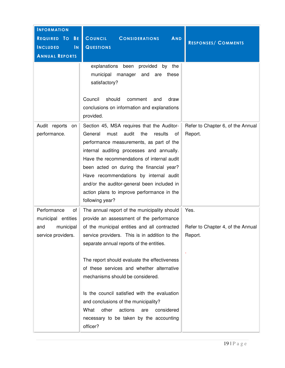| <b>INFORMATION</b><br>REQUIRED TO<br><b>BE</b><br><b>INCLUDED</b><br>$\overline{\mathsf{N}}$<br><b>ANNUAL REPORTS</b> | <b>COUNCIL</b><br><b>CONSIDERATIONS</b><br>AND<br><b>QUESTIONS</b><br>explanations been<br>provided<br>by<br>the<br>municipal<br>manager<br>these<br>and<br>are<br>satisfactory?                                                                                                                                                                                                                                                                                                                                                                                       | <b>RESPONSES/ COMMENTS</b>                           |
|-----------------------------------------------------------------------------------------------------------------------|------------------------------------------------------------------------------------------------------------------------------------------------------------------------------------------------------------------------------------------------------------------------------------------------------------------------------------------------------------------------------------------------------------------------------------------------------------------------------------------------------------------------------------------------------------------------|------------------------------------------------------|
|                                                                                                                       | Council<br>should<br>comment<br>draw<br>and<br>conclusions on information and explanations<br>provided.                                                                                                                                                                                                                                                                                                                                                                                                                                                                |                                                      |
| Audit reports<br>on<br>performance.                                                                                   | Section 45, MSA requires that the Auditor-<br>audit<br>General<br>must<br>the<br>results<br>0t<br>performance measurements, as part of the<br>internal auditing processes and annually.<br>Have the recommendations of internal audit<br>been acted on during the financial year?<br>Have recommendations by internal audit<br>and/or the auditor-general been included in<br>action plans to improve performance in the<br>following year?                                                                                                                            | Refer to Chapter 6, of the Annual<br>Report.         |
| Performance<br>οf<br>municipal entities<br>municipal<br>and<br>service providers.                                     | The annual report of the municipality should<br>provide an assessment of the performance<br>of the municipal entities and all contracted<br>service providers. This is in addition to the<br>separate annual reports of the entities.<br>The report should evaluate the effectiveness<br>of these services and whether alternative<br>mechanisms should be considered.<br>Is the council satisfied with the evaluation<br>and conclusions of the municipality?<br>What<br>other<br>actions<br>considered<br>are<br>necessary to be taken by the accounting<br>officer? | Yes.<br>Refer to Chapter 4, of the Annual<br>Report. |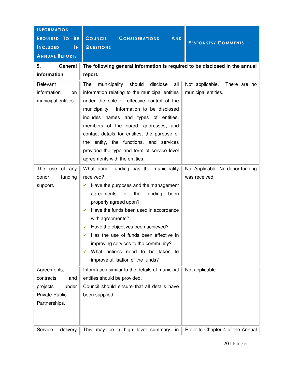| <b>INFORMATION</b><br>REQUIRED TO<br><b>BE</b><br><b>INCLUDED</b><br>$\overline{\mathsf{N}}$<br><b>ANNUAL REPORTS</b> | COUNCIL<br><b>CONSIDERATIONS</b><br>AND<br><b>QUESTIONS</b>                                                                                                                                                                                                                                                                                                                                                                                                  | <b>RESPONSES/ COMMENTS</b>                             |
|-----------------------------------------------------------------------------------------------------------------------|--------------------------------------------------------------------------------------------------------------------------------------------------------------------------------------------------------------------------------------------------------------------------------------------------------------------------------------------------------------------------------------------------------------------------------------------------------------|--------------------------------------------------------|
| 5.<br>General<br>information                                                                                          | The following general information is required to be disclosed in the annual<br>report.                                                                                                                                                                                                                                                                                                                                                                       |                                                        |
| Relevant<br>information<br>on<br>municipal entities.                                                                  | should<br>disclose<br>all<br>The<br>municipality<br>information relating to the municipal entities<br>under the sole or effective control of the<br>Information to be disclosed<br>municipality.<br>includes names and types of entities,<br>members of the board, addresses, and<br>contact details for entities, the purpose of<br>the entity, the functions, and services<br>provided the type and term of service level<br>agreements with the entities. | Not applicable.<br>There are no<br>municipal entities. |
| The use of any<br>funding<br>donor<br>support.                                                                        | What donor funding has the municipality<br>received?<br>Have the purposes and the management<br>agreements for the<br>funding<br>been<br>properly agreed upon?<br>Have the funds been used in accordance<br>with agreements?<br>Have the objectives been achieved?<br>Has the use of funds been effective in<br>improving services to the community?<br>What actions need to be taken to<br>✓<br>improve utilisation of the funds?                           | Not Applicable. No donor funding<br>was received.      |
| Agreements,<br>contracts<br>and<br>under<br>projects<br>Private-Public-<br>Partnerships.                              | Information similar to the details of municipal<br>entities should be provided.<br>Council should ensure that all details have<br>been supplied.                                                                                                                                                                                                                                                                                                             | Not applicable.                                        |
| Service<br>delivery                                                                                                   | This may be a high level summary, in                                                                                                                                                                                                                                                                                                                                                                                                                         | Refer to Chapter 4 of the Annual                       |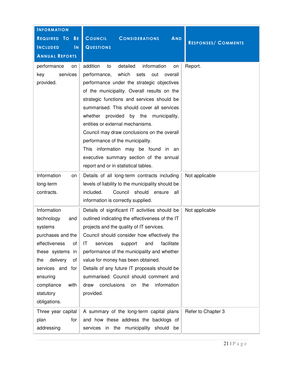| <b>INFORMATION</b><br>REQUIRED TO<br><b>BE</b><br><b>INCLUDED</b><br>$\mathsf{IN}$<br><b>ANNUAL REPORTS</b>                                                                                                                | COUNCIL<br><b>AND</b><br><b>CONSIDERATIONS</b><br><b>QUESTIONS</b>                                                                                                                                                                                                                                                                                                                                                                                                                                                                                                                                    | <b>RESPONSES/ COMMENTS</b> |
|----------------------------------------------------------------------------------------------------------------------------------------------------------------------------------------------------------------------------|-------------------------------------------------------------------------------------------------------------------------------------------------------------------------------------------------------------------------------------------------------------------------------------------------------------------------------------------------------------------------------------------------------------------------------------------------------------------------------------------------------------------------------------------------------------------------------------------------------|----------------------------|
| performance<br>on<br>services<br>key<br>provided.                                                                                                                                                                          | detailed<br>information<br>addition<br>to<br>on<br>which<br>performance,<br>sets<br>out<br>overall<br>performance under the strategic objectives<br>of the municipality. Overall results on the<br>strategic functions and services should be<br>summarised. This should cover all services<br>whether<br>provided<br>by the municipality,<br>entities or external mechanisms.<br>Council may draw conclusions on the overall<br>performance of the municipality.<br>information may be found in an<br><b>This</b><br>executive summary section of the annual<br>report and or in statistical tables. | Report.                    |
| Information<br>on<br>long-term<br>contracts.                                                                                                                                                                               | Details of all long-term contracts including<br>levels of liability to the municipality should be<br>included.<br>Council<br>should<br>ensure<br>all<br>information is correctly supplied.                                                                                                                                                                                                                                                                                                                                                                                                            | Not applicable             |
| Information<br>technology<br>and<br>systems<br>purchases and the<br>effectiveness<br>οf<br>these systems in<br>delivery<br>the<br>οf<br>services and<br>for<br>ensuring<br>compliance<br>with<br>statutory<br>obligations. | Details of significant IT activities should be<br>outlined indicating the effectiveness of the IT<br>projects and the quality of IT services.<br>Council should consider how effectively the<br>services<br>facilitate<br>IT<br>and<br>support<br>performance of the municipality and whether<br>value for money has been obtained.<br>Details of any future IT proposals should be<br>summarised. Council should comment and<br>information<br>conclusions<br>draw<br>the<br>on<br>provided.                                                                                                         | Not applicable             |
| Three year capital<br>plan<br>for<br>addressing                                                                                                                                                                            | A summary of the long-term capital plans<br>and how these address the backlogs of<br>services in the municipality should<br>be                                                                                                                                                                                                                                                                                                                                                                                                                                                                        | Refer to Chapter 3         |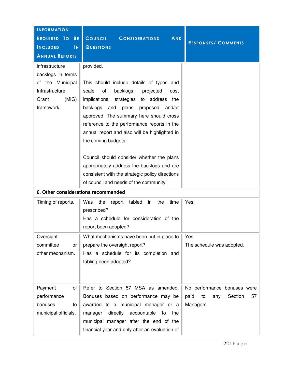| <b>INFORMATION</b><br>REQUIRED TO<br>BE<br><b>INCLUDED</b><br>IN<br><b>ANNUAL REPORTS</b>                 | COUNCIL<br><b>CONSIDERATIONS</b><br><b>AND</b><br><b>QUESTIONS</b>                                                                                                                                                                                                                                                                                                                                                                                                                                                                                               | <b>RESPONSES/ COMMENTS</b>                                                     |  |  |
|-----------------------------------------------------------------------------------------------------------|------------------------------------------------------------------------------------------------------------------------------------------------------------------------------------------------------------------------------------------------------------------------------------------------------------------------------------------------------------------------------------------------------------------------------------------------------------------------------------------------------------------------------------------------------------------|--------------------------------------------------------------------------------|--|--|
| infrastructure<br>backlogs in terms<br>of the Municipal<br>Infrastructure<br>(MIG)<br>Grant<br>framework. | provided.<br>This should include details of types and<br>of<br>scale<br>backlogs,<br>projected<br>cost<br>implications, strategies to address<br>the<br>plans<br>backlogs<br>and<br>proposed<br>and/or<br>approved. The summary here should cross<br>reference to the performance reports in the<br>annual report and also will be highlighted in<br>the coming budgets.<br>Council should consider whether the plans<br>appropriately address the backlogs and are<br>consistent with the strategic policy directions<br>of council and needs of the community. |                                                                                |  |  |
| 6. Other considerations recommended                                                                       |                                                                                                                                                                                                                                                                                                                                                                                                                                                                                                                                                                  |                                                                                |  |  |
| Timing of reports.                                                                                        | the<br>the<br>Was<br>report<br>tabled<br>in<br>time<br>prescribed?<br>Has a schedule for consideration of the<br>report been adopted?                                                                                                                                                                                                                                                                                                                                                                                                                            | Yes.                                                                           |  |  |
| Oversight<br>committee<br>or<br>other mechanism.                                                          | What mechanisms have been put in place to<br>prepare the oversight report?<br>Has a schedule for its completion and<br>tabling been adopted?                                                                                                                                                                                                                                                                                                                                                                                                                     | Yes.<br>The schedule was adopted.                                              |  |  |
| Payment<br>οf<br>performance<br>bonuses<br>to<br>municipal officials.                                     | Refer to Section 57 MSA as amended.<br>Bonuses based on performance may be<br>awarded to a municipal manager or a<br>directly<br>accountable<br>the<br>manager<br>to<br>municipal manager after the end of the<br>financial year and only after an evaluation of                                                                                                                                                                                                                                                                                                 | No performance bonuses were<br>paid<br>Section<br>57<br>to<br>any<br>Managers. |  |  |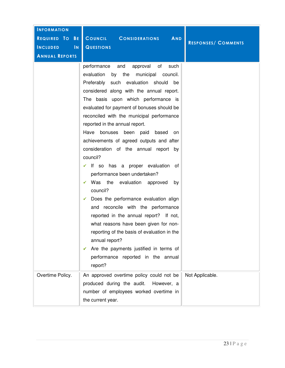| <b>INFORMATION</b>                         |                                                                                                                                                                                                                                                                                                                                                                                                                                                                                                                                                                                                                                                                                                                                                                                                                                                                                                                                                                                         |                            |
|--------------------------------------------|-----------------------------------------------------------------------------------------------------------------------------------------------------------------------------------------------------------------------------------------------------------------------------------------------------------------------------------------------------------------------------------------------------------------------------------------------------------------------------------------------------------------------------------------------------------------------------------------------------------------------------------------------------------------------------------------------------------------------------------------------------------------------------------------------------------------------------------------------------------------------------------------------------------------------------------------------------------------------------------------|----------------------------|
| REQUIRED TO BE                             | COUNCIL<br><b>CONSIDERATIONS</b><br><b>AND</b>                                                                                                                                                                                                                                                                                                                                                                                                                                                                                                                                                                                                                                                                                                                                                                                                                                                                                                                                          |                            |
| <b>INCLUDED</b><br>$\overline{\mathsf{N}}$ | <b>QUESTIONS</b>                                                                                                                                                                                                                                                                                                                                                                                                                                                                                                                                                                                                                                                                                                                                                                                                                                                                                                                                                                        | <b>RESPONSES/ COMMENTS</b> |
| <b>ANNUAL REPORTS</b>                      |                                                                                                                                                                                                                                                                                                                                                                                                                                                                                                                                                                                                                                                                                                                                                                                                                                                                                                                                                                                         |                            |
|                                            | of<br>performance<br>and<br>approval<br>such<br>evaluation<br>by<br>the<br>municipal<br>council.<br>Preferably such evaluation should<br>be<br>considered along with the annual report.<br>The basis upon which performance is<br>evaluated for payment of bonuses should be<br>reconciled with the municipal performance<br>reported in the annual report.<br>Have bonuses<br>been paid based<br>on<br>achievements of agreed outputs and after<br>consideration of the annual report by<br>council?<br>$\checkmark$ If so has a proper evaluation of<br>performance been undertaken?<br>Was the evaluation approved<br>by<br>council?<br>$\checkmark$ Does the performance evaluation align<br>and reconcile with the performance<br>reported in the annual report? If not,<br>what reasons have been given for non-<br>reporting of the basis of evaluation in the<br>annual report?<br>Are the payments justified in terms of<br>✔<br>performance reported in the annual<br>report? |                            |
| Overtime Policy.                           | An approved overtime policy could not be<br>produced during the audit.<br>However, a<br>number of employees worked overtime in<br>the current year.                                                                                                                                                                                                                                                                                                                                                                                                                                                                                                                                                                                                                                                                                                                                                                                                                                     | Not Applicable.            |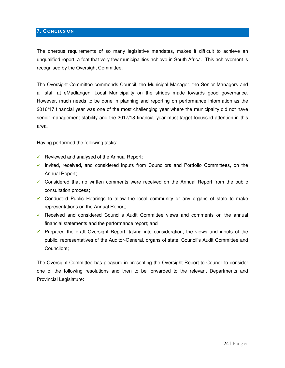# **7. CONCLUSION**

The onerous requirements of so many legislative mandates, makes it difficult to achieve an unqualified report, a feat that very few municipalities achieve in South Africa. This achievement is recognised by the Oversight Committee.

The Oversight Committee commends Council, the Municipal Manager, the Senior Managers and all staff at eMadlangeni Local Municipality on the strides made towards good governance. However, much needs to be done in planning and reporting on performance information as the 2016/17 financial year was one of the most challenging year where the municipality did not have senior management stability and the 2017/18 financial year must target focussed attention in this area.

Having performed the following tasks:

- Reviewed and analysed of the Annual Report;
- $\checkmark$  Invited, received, and considered inputs from Councilors and Portfolio Committees, on the Annual Report;
- $\checkmark$  Considered that no written comments were received on the Annual Report from the public consultation process;
- $\checkmark$  Conducted Public Hearings to allow the local community or any organs of state to make representations on the Annual Report;
- $\checkmark$  Received and considered Council's Audit Committee views and comments on the annual financial statements and the performance report; and
- $\checkmark$  Prepared the draft Oversight Report, taking into consideration, the views and inputs of the public, representatives of the Auditor-General, organs of state, Council's Audit Committee and Councilors;

The Oversight Committee has pleasure in presenting the Oversight Report to Council to consider one of the following resolutions and then to be forwarded to the relevant Departments and Provincial Legislature: